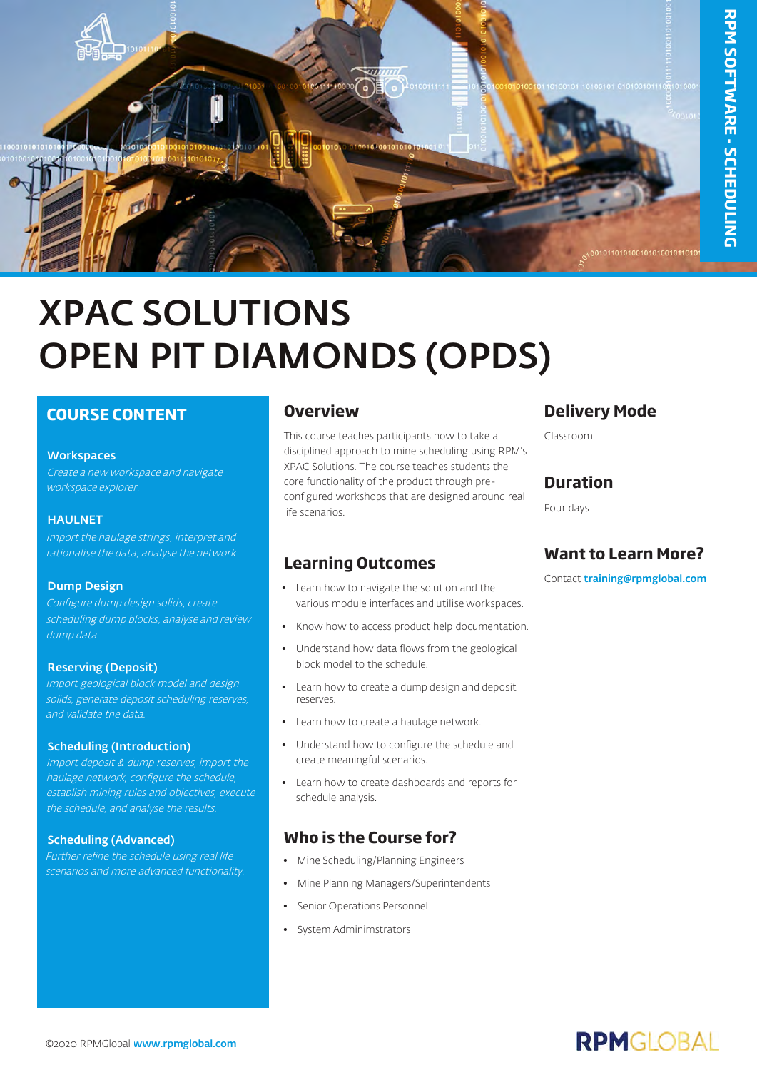

# XPAC SOLUTIONS OPEN PIT DIAMONDS (OPDS)

### **COURSE CONTENT**

#### **Workspaces**

Create a new workspace and navigate workspace explorer.

#### **HAULNET**

Import the haulage strings, interpret and rationalise the data, analyse the network.

#### Dump Design

Configure dump design solids, create scheduling dump blocks, analyse and review dump data.

#### Reserving (Deposit)

Import geological block model and design solids, generate deposit scheduling reserves, and validate the data.

#### Scheduling (Introduction)

Import deposit & dump reserves, import the haulage network, configure the schedule, establish mining rules and objectives, execute the schedule, and analyse the results.

#### Scheduling (Advanced)

Further refine the schedule using real life scenarios and more advanced functionality.

#### **Overview**

This course teaches participants how to take a disciplined approach to mine scheduling using RPM's XPAC Solutions. The course teaches students the core functionality of the product through preconfigured workshops that are designed around real life scenarios.

#### **Learning Outcomes**

- Learn how to navigate the solution and the various module interfaces and utilise workspaces.
- Know how to access product help documentation.
- Understand how data flows from the geological block model to the schedule.
- Learn how to create a dump design and deposit reserves.
- Learn how to create a haulage network.
- Understand how to configure the schedule and create meaningful scenarios.
- Learn how to create dashboards and reports for schedule analysis.

#### **Who is the Course for?**

- Mine Scheduling/Planning Engineers
- Mine Planning Managers/Superintendents
- Senior Operations Personnel
- System Adminimstrators

### **Delivery Mode**

Classroom

#### **Duration**

Four days

## **Want to Learn More?**

Contact [training@rpmglobal.com](mailto:training@rpmglobal.com)